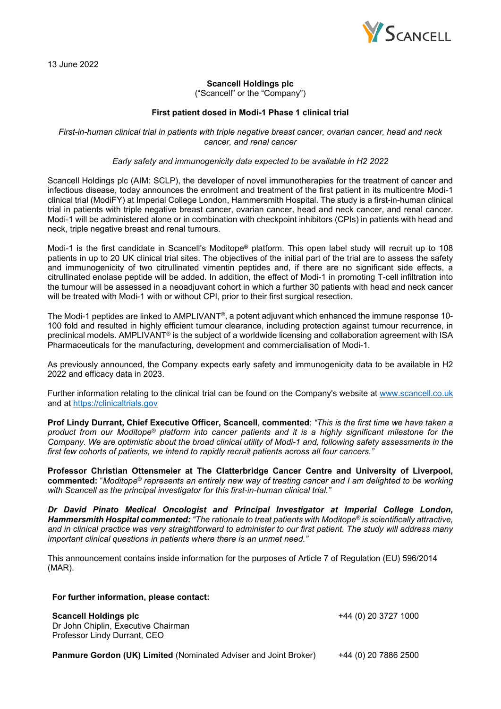

## **Scancell Holdings plc**

("Scancell" or the "Company")

## **First patient dosed in Modi-1 Phase 1 clinical trial**

*First-in-human clinical trial in patients with triple negative breast cancer, ovarian cancer, head and neck cancer, and renal cancer*

*Early safety and immunogenicity data expected to be available in H2 2022*

Scancell Holdings plc (AIM: SCLP), the developer of novel immunotherapies for the treatment of cancer and infectious disease, today announces the enrolment and treatment of the first patient in its multicentre Modi-1 clinical trial (ModiFY) at Imperial College London, Hammersmith Hospital. The study is a first-in-human clinical trial in patients with triple negative breast cancer, ovarian cancer, head and neck cancer, and renal cancer. Modi-1 will be administered alone or in combination with checkpoint inhibitors (CPIs) in patients with head and neck, triple negative breast and renal tumours.

Modi-1 is the first candidate in Scancell's Moditope® platform. This open label study will recruit up to 108 patients in up to 20 UK clinical trial sites. The objectives of the initial part of the trial are to assess the safety and immunogenicity of two citrullinated vimentin peptides and, if there are no significant side effects, a citrullinated enolase peptide will be added. In addition, the effect of Modi-1 in promoting T-cell infiltration into the tumour will be assessed in a neoadjuvant cohort in which a further 30 patients with head and neck cancer will be treated with Modi-1 with or without CPI, prior to their first surgical resection.

The Modi-1 peptides are linked to AMPLIVANT®, a potent adjuvant which enhanced the immune response 10- 100 fold and resulted in highly efficient tumour clearance, including protection against tumour recurrence, in preclinical models. AMPLIVANT<sup>®</sup> is the subject of a worldwide licensing and collaboration agreement with ISA Pharmaceuticals for the manufacturing, development and commercialisation of Modi-1.

As previously announced, the Company expects early safety and immunogenicity data to be available in H2 2022 and efficacy data in 2023.

Further information relating to the clinical trial can be found on the Company's website at [www.scancell.co.uk](http://www.scancell.co.uk/) and at [https://clinicaltrials.gov](https://clinicaltrials.gov/)

**Prof Lindy Durrant, Chief Executive Officer, Scancell**, **commented**: *"This is the first time we have taken a product from our Moditope® platform into cancer patients and it is a highly significant milestone for the Company. We are optimistic about the broad clinical utility of Modi-1 and, following safety assessments in the first few cohorts of patients, we intend to rapidly recruit patients across all four cancers."*

**Professor Christian Ottensmeier at The Clatterbridge Cancer Centre and University of Liverpool, commented:** "*Moditope® represents an entirely new way of treating cancer and I am delighted to be working with Scancell as the principal investigator for this first-in-human clinical trial."*

*Dr David Pinato Medical Oncologist and Principal Investigator at Imperial College London, Hammersmith Hospital commented: "The rationale to treat patients with Moditope® is scientifically attractive, and in clinical practice was very straightforward to administer to our first patient. The study will address many important clinical questions in patients where there is an unmet need."*

This announcement contains inside information for the purposes of Article 7 of Regulation (EU) 596/2014 (MAR).

## **For further information, please contact:**

**Scancell Holdings plc** +44 (0) 20 3727 1000

Dr John Chiplin, Executive Chairman Professor Lindy Durrant, CEO

**Panmure Gordon (UK) Limited** (Nominated Adviser and Joint Broker) +44 (0) 20 7886 2500